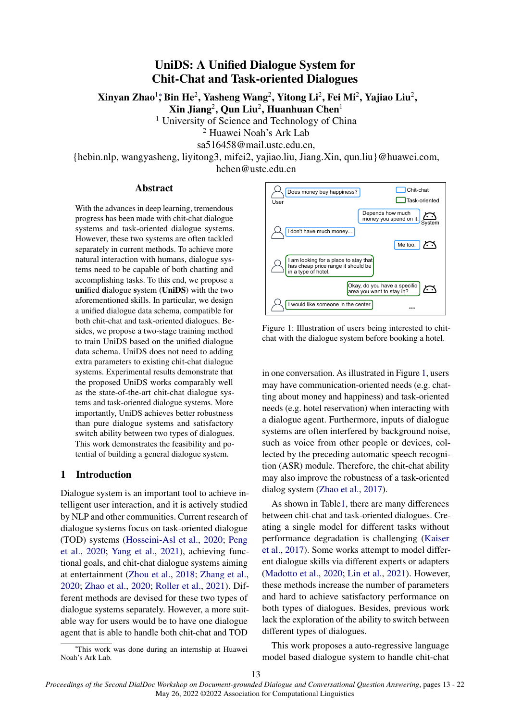# UniDS: A Unified Dialogue System for Chit-Chat and Task-oriented Dialogues

<span id="page-0-0"></span>Xinyan Zhao<sup>1</sup>\*[,](#page-0-0) Bin He<sup>2</sup>, Yasheng Wang<sup>2</sup>, Yitong Li<sup>2</sup>, Fei Mi<sup>2</sup>, Yajiao Liu<sup>2</sup>,

 $\mathbf{X}$ in Jiang $^2$ , Qun Liu $^2$ , Huanhuan Chen $^1$ 

<sup>1</sup> University of Science and Technology of China

<sup>2</sup> Huawei Noah's Ark Lab

sa516458@mail.ustc.edu.cn,

{hebin.nlp, wangyasheng, liyitong3, mifei2, yajiao.liu, Jiang.Xin, qun.liu}@huawei.com, hchen@ustc.edu.cn

## Abstract

With the advances in deep learning, tremendous progress has been made with chit-chat dialogue systems and task-oriented dialogue systems. However, these two systems are often tackled separately in current methods. To achieve more natural interaction with humans, dialogue systems need to be capable of both chatting and accomplishing tasks. To this end, we propose a unified dialogue system (UniDS) with the two aforementioned skills. In particular, we design a unified dialogue data schema, compatible for both chit-chat and task-oriented dialogues. Besides, we propose a two-stage training method to train UniDS based on the unified dialogue data schema. UniDS does not need to adding extra parameters to existing chit-chat dialogue systems. Experimental results demonstrate that the proposed UniDS works comparably well as the state-of-the-art chit-chat dialogue systems and task-oriented dialogue systems. More importantly, UniDS achieves better robustness than pure dialogue systems and satisfactory switch ability between two types of dialogues. This work demonstrates the feasibility and potential of building a general dialogue system.

## 1 Introduction

Dialogue system is an important tool to achieve intelligent user interaction, and it is actively studied by NLP and other communities. Current research of dialogue systems focus on task-oriented dialogue (TOD) systems [\(Hosseini-Asl et al.,](#page-8-0) [2020;](#page-8-0) [Peng](#page-8-1) [et al.,](#page-8-1) [2020;](#page-8-1) [Yang et al.,](#page-8-2) [2021\)](#page-8-2), achieving functional goals, and chit-chat dialogue systems aiming at entertainment [\(Zhou et al.,](#page-9-0) [2018;](#page-9-0) [Zhang et al.,](#page-9-1) [2020;](#page-9-1) [Zhao et al.,](#page-9-2) [2020;](#page-9-2) [Roller et al.,](#page-8-3) [2021\)](#page-8-3). Different methods are devised for these two types of dialogue systems separately. However, a more suitable way for users would be to have one dialogue agent that is able to handle both chit-chat and TOD

<sup>∗</sup>This work was done during an internship at Huawei Noah's Ark Lab.

<span id="page-0-1"></span>

Figure 1: Illustration of users being interested to chitchat with the dialogue system before booking a hotel.

in one conversation. As illustrated in Figure [1,](#page-0-1) users may have communication-oriented needs (e.g. chatting about money and happiness) and task-oriented needs (e.g. hotel reservation) when interacting with a dialogue agent. Furthermore, inputs of dialogue systems are often interfered by background noise, such as voice from other people or devices, collected by the preceding automatic speech recognition (ASR) module. Therefore, the chit-chat ability may also improve the robustness of a task-oriented dialog system [\(Zhao et al.,](#page-9-3) [2017\)](#page-9-3).

As shown in Tabl[e1,](#page-1-0) there are many differences between chit-chat and task-oriented dialogues. Creating a single model for different tasks without performance degradation is challenging [\(Kaiser](#page-8-4) [et al.,](#page-8-4) [2017\)](#page-8-4). Some works attempt to model different dialogue skills via different experts or adapters [\(Madotto et al.,](#page-8-5) [2020;](#page-8-5) [Lin et al.,](#page-8-6) [2021\)](#page-8-6). However, these methods increase the number of parameters and hard to achieve satisfactory performance on both types of dialogues. Besides, previous work lack the exploration of the ability to switch between different types of dialogues.

This work proposes a auto-regressive language model based dialogue system to handle chit-chat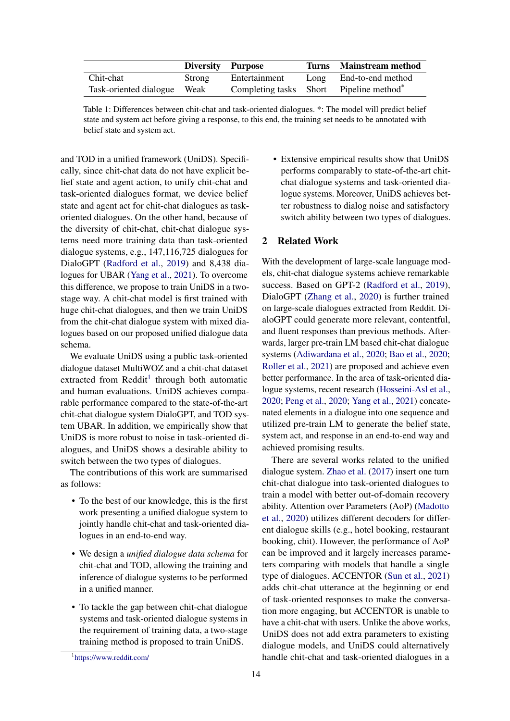<span id="page-1-0"></span>

|                             | Diversity Purpose |                                                     | Turns Mainstream method |
|-----------------------------|-------------------|-----------------------------------------------------|-------------------------|
| Chit-chat                   | Strong            | Entertainment                                       | Long End-to-end method  |
| Task-oriented dialogue Weak |                   | Completing tasks Short Pipeline method <sup>*</sup> |                         |

Table 1: Differences between chit-chat and task-oriented dialogues. \*: The model will predict belief state and system act before giving a response, to this end, the training set needs to be annotated with belief state and system act.

and TOD in a unified framework (UniDS). Specifically, since chit-chat data do not have explicit belief state and agent action, to unify chit-chat and task-oriented dialogues format, we device belief state and agent act for chit-chat dialogues as taskoriented dialogues. On the other hand, because of the diversity of chit-chat, chit-chat dialogue systems need more training data than task-oriented dialogue systems, e.g., 147,116,725 dialogues for DialoGPT [\(Radford et al.,](#page-8-7) [2019\)](#page-8-7) and 8,438 dialogues for UBAR [\(Yang et al.,](#page-8-2) [2021\)](#page-8-2). To overcome this difference, we propose to train UniDS in a twostage way. A chit-chat model is first trained with huge chit-chat dialogues, and then we train UniDS from the chit-chat dialogue system with mixed dialogues based on our proposed unified dialogue data schema.

We evaluate UniDS using a public task-oriented dialogue dataset MultiWOZ and a chit-chat dataset extracted from Reddit<sup>[1](#page-1-1)</sup> through both automatic and human evaluations. UniDS achieves comparable performance compared to the state-of-the-art chit-chat dialogue system DialoGPT, and TOD system UBAR. In addition, we empirically show that UniDS is more robust to noise in task-oriented dialogues, and UniDS shows a desirable ability to switch between the two types of dialogues.

The contributions of this work are summarised as follows:

- To the best of our knowledge, this is the first work presenting a unified dialogue system to jointly handle chit-chat and task-oriented dialogues in an end-to-end way.
- We design a *unified dialogue data schema* for chit-chat and TOD, allowing the training and inference of dialogue systems to be performed in a unified manner.
- To tackle the gap between chit-chat dialogue systems and task-oriented dialogue systems in the requirement of training data, a two-stage training method is proposed to train UniDS.

• Extensive empirical results show that UniDS performs comparably to state-of-the-art chitchat dialogue systems and task-oriented dialogue systems. Moreover, UniDS achieves better robustness to dialog noise and satisfactory switch ability between two types of dialogues.

## 2 Related Work

With the development of large-scale language models, chit-chat dialogue systems achieve remarkable success. Based on GPT-2 [\(Radford et al.,](#page-8-7) [2019\)](#page-8-7), DialoGPT [\(Zhang et al.,](#page-9-1) [2020\)](#page-9-1) is further trained on large-scale dialogues extracted from Reddit. DialoGPT could generate more relevant, contentful, and fluent responses than previous methods. Afterwards, larger pre-train LM based chit-chat dialogue systems [\(Adiwardana et al.,](#page-8-8) [2020;](#page-8-8) [Bao et al.,](#page-8-9) [2020;](#page-8-9) [Roller et al.,](#page-8-3) [2021\)](#page-8-3) are proposed and achieve even better performance. In the area of task-oriented dialogue systems, recent research [\(Hosseini-Asl et al.,](#page-8-0) [2020;](#page-8-0) [Peng et al.,](#page-8-1) [2020;](#page-8-1) [Yang et al.,](#page-8-2) [2021\)](#page-8-2) concatenated elements in a dialogue into one sequence and utilized pre-train LM to generate the belief state, system act, and response in an end-to-end way and achieved promising results.

There are several works related to the unified dialogue system. [Zhao et al.](#page-9-3) [\(2017\)](#page-9-3) insert one turn chit-chat dialogue into task-oriented dialogues to train a model with better out-of-domain recovery ability. Attention over Parameters (AoP) [\(Madotto](#page-8-5) [et al.,](#page-8-5) [2020\)](#page-8-5) utilizes different decoders for different dialogue skills (e.g., hotel booking, restaurant booking, chit). However, the performance of AoP can be improved and it largely increases parameters comparing with models that handle a single type of dialogues. ACCENTOR [\(Sun et al.,](#page-8-10) [2021\)](#page-8-10) adds chit-chat utterance at the beginning or end of task-oriented responses to make the conversation more engaging, but ACCENTOR is unable to have a chit-chat with users. Unlike the above works, UniDS does not add extra parameters to existing dialogue models, and UniDS could alternatively handle chit-chat and task-oriented dialogues in a

<span id="page-1-1"></span><sup>1</sup> <https://www.reddit.com/>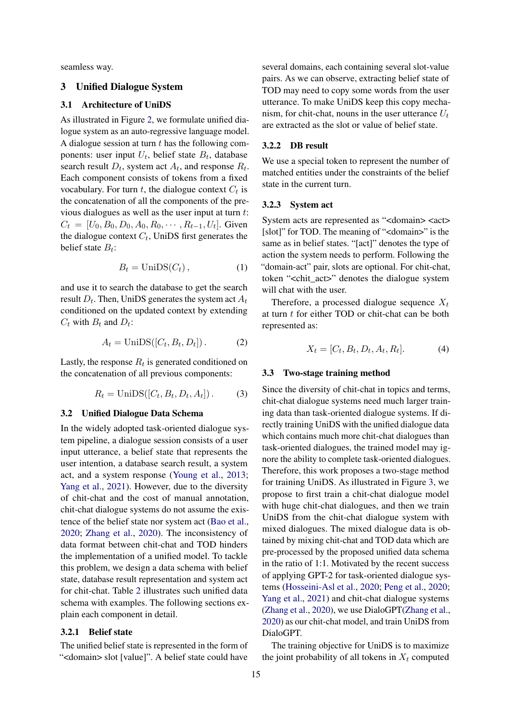seamless way.

## 3 Unified Dialogue System

## 3.1 Architecture of UniDS

As illustrated in Figure [2,](#page-3-0) we formulate unified dialogue system as an auto-regressive language model. A dialogue session at turn  $t$  has the following components: user input  $U_t$ , belief state  $B_t$ , database search result  $D_t$ , system act  $A_t$ , and response  $R_t$ . Each component consists of tokens from a fixed vocabulary. For turn  $t$ , the dialogue context  $C_t$  is the concatenation of all the components of the previous dialogues as well as the user input at turn  $t$ :  $C_t = [U_0, B_0, D_0, A_0, R_0, \dots, R_{t-1}, U_t]$ . Given the dialogue context  $C_t$ , UniDS first generates the belief state  $B_t$ :

$$
B_t = \text{UniDS}(C_t),\tag{1}
$$

and use it to search the database to get the search result  $D_t.$  Then, UniDS generates the system act  $A_t$ conditioned on the updated context by extending  $C_t$  with  $B_t$  and  $D_t$ :

$$
A_t = \text{UniDS}([C_t, B_t, D_t]). \tag{2}
$$

Lastly, the response  $R_t$  is generated conditioned on the concatenation of all previous components:

$$
R_t = \text{UniDS}([C_t, B_t, D_t, A_t]).
$$
 (3)

## 3.2 Unified Dialogue Data Schema

In the widely adopted task-oriented dialogue system pipeline, a dialogue session consists of a user input utterance, a belief state that represents the user intention, a database search result, a system act, and a system response [\(Young et al.,](#page-9-4) [2013;](#page-9-4) [Yang et al.,](#page-8-2) [2021\)](#page-8-2). However, due to the diversity of chit-chat and the cost of manual annotation, chit-chat dialogue systems do not assume the existence of the belief state nor system act [\(Bao et al.,](#page-8-9) [2020;](#page-8-9) [Zhang et al.,](#page-9-1) [2020\)](#page-9-1). The inconsistency of data format between chit-chat and TOD hinders the implementation of a unified model. To tackle this problem, we design a data schema with belief state, database result representation and system act for chit-chat. Table [2](#page-3-1) illustrates such unified data schema with examples. The following sections explain each component in detail.

## 3.2.1 Belief state

The unified belief state is represented in the form of "<domain> slot [value]". A belief state could have several domains, each containing several slot-value pairs. As we can observe, extracting belief state of TOD may need to copy some words from the user utterance. To make UniDS keep this copy mechanism, for chit-chat, nouns in the user utterance  $U_t$ are extracted as the slot or value of belief state.

### 3.2.2 DB result

We use a special token to represent the number of matched entities under the constraints of the belief state in the current turn.

## 3.2.3 System act

System acts are represented as "<domain> <act> [slot]" for TOD. The meaning of "<domain>" is the same as in belief states. "[act]" denotes the type of action the system needs to perform. Following the "domain-act" pair, slots are optional. For chit-chat, token "<chit\_act>" denotes the dialogue system will chat with the user.

Therefore, a processed dialogue sequence  $X_t$ at turn t for either TOD or chit-chat can be both represented as:

$$
X_t = [C_t, B_t, D_t, A_t, R_t].
$$
\n<sup>(4)</sup>

#### 3.3 Two-stage training method

Since the diversity of chit-chat in topics and terms, chit-chat dialogue systems need much larger training data than task-oriented dialogue systems. If directly training UniDS with the unified dialogue data which contains much more chit-chat dialogues than task-oriented dialogues, the trained model may ignore the ability to complete task-oriented dialogues. Therefore, this work proposes a two-stage method for training UniDS. As illustrated in Figure [3,](#page-3-2) we propose to first train a chit-chat dialogue model with huge chit-chat dialogues, and then we train UniDS from the chit-chat dialogue system with mixed dialogues. The mixed dialogue data is obtained by mixing chit-chat and TOD data which are pre-processed by the proposed unified data schema in the ratio of 1:1. Motivated by the recent success of applying GPT-2 for task-oriented dialogue systems [\(Hosseini-Asl et al.,](#page-8-0) [2020;](#page-8-0) [Peng et al.,](#page-8-1) [2020;](#page-8-1) [Yang et al.,](#page-8-2) [2021\)](#page-8-2) and chit-chat dialogue systems [\(Zhang et al.,](#page-9-1) [2020\)](#page-9-1), we use DialoGPT[\(Zhang et al.,](#page-9-1) [2020\)](#page-9-1) as our chit-chat model, and train UniDS from DialoGPT.

The training objective for UniDS is to maximize the joint probability of all tokens in  $X_t$  computed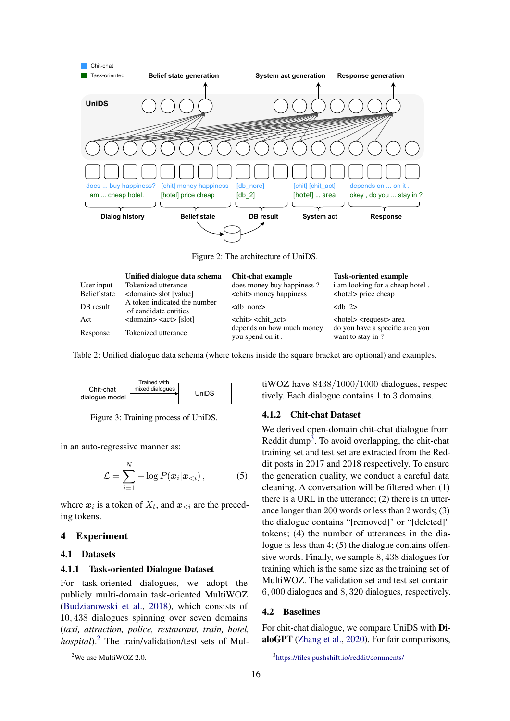<span id="page-3-0"></span>

Figure 2: The architecture of UniDS.

<span id="page-3-1"></span>

|              | Unified dialogue data schema                                      | Chit-chat example                             | <b>Task-oriented example</b>                         |
|--------------|-------------------------------------------------------------------|-----------------------------------------------|------------------------------------------------------|
| User input   | Tokenized utterance                                               | does money buy happiness?                     | i am looking for a cheap hotel.                      |
| Belief state | <domain> slot [value]</domain>                                    | <chit> money happiness</chit>                 | <hotel> price cheap</hotel>                          |
| DB result    | A token indicated the number<br>of candidate entities             | $<$ db nore $>$                               | $<$ db 2>                                            |
| Act          | $\alpha$ <domain> <math>\alpha</math> <act> [slot]</act></domain> | <chit> <chit act=""></chit></chit>            | <hotel> <request> area</request></hotel>             |
| Response     | Tokenized utterance                                               | depends on how much money<br>you spend on it. | do you have a specific area you<br>want to stay in ? |

Table 2: Unified dialogue data schema (where tokens inside the square bracket are optional) and examples.

<span id="page-3-2"></span>

Figure 3: Training process of UniDS.

in an auto-regressive manner as:

$$
\mathcal{L} = \sum_{i=1}^{N} -\log P(\boldsymbol{x}_i | \boldsymbol{x}_{< i}), \tag{5}
$$

where  $x_i$  is a token of  $X_t$ , and  $x_{\leq i}$  are the preceding tokens.

## 4 Experiment

#### 4.1 Datasets

#### 4.1.1 Task-oriented Dialogue Dataset

For task-oriented dialogues, we adopt the publicly multi-domain task-oriented MultiWOZ [\(Budzianowski et al.,](#page-8-11) [2018\)](#page-8-11), which consists of 10, 438 dialogues spinning over seven domains (*taxi, attraction, police, restaurant, train, hotel, hospital*).[2](#page-3-3) The train/validation/test sets of MultiWOZ have 8438/1000/1000 dialogues, respectively. Each dialogue contains 1 to 3 domains.

#### 4.1.2 Chit-chat Dataset

We derived open-domain chit-chat dialogue from Reddit dump<sup>[3](#page-3-4)</sup>. To avoid overlapping, the chit-chat training set and test set are extracted from the Reddit posts in 2017 and 2018 respectively. To ensure the generation quality, we conduct a careful data cleaning. A conversation will be filtered when (1) there is a URL in the utterance; (2) there is an utterance longer than 200 words or less than 2 words; (3) the dialogue contains "[removed]" or "[deleted]" tokens; (4) the number of utterances in the dialogue is less than 4; (5) the dialogue contains offensive words. Finally, we sample 8, 438 dialogues for training which is the same size as the training set of MultiWOZ. The validation set and test set contain 6, 000 dialogues and 8, 320 dialogues, respectively.

## 4.2 Baselines

For chit-chat dialogue, we compare UniDS with DialoGPT [\(Zhang et al.,](#page-9-1) [2020\)](#page-9-1). For fair comparisons,

<span id="page-3-3"></span><sup>&</sup>lt;sup>2</sup>We use MultiWOZ 2.0.

<span id="page-3-4"></span><sup>3</sup> <https://files.pushshift.io/reddit/comments/>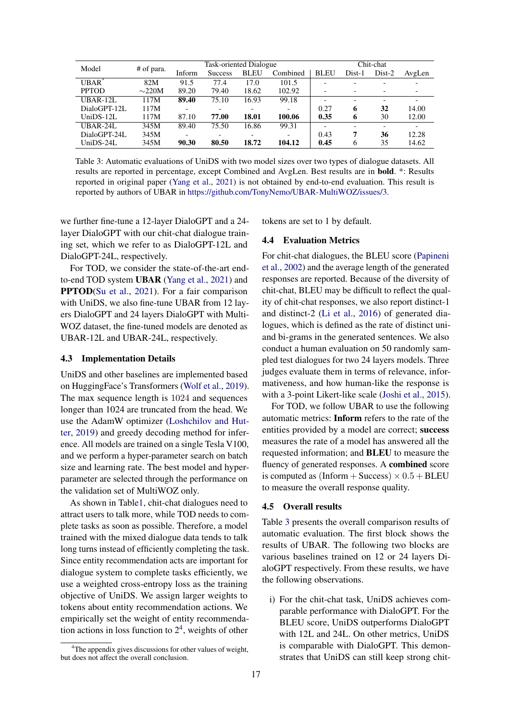<span id="page-4-1"></span>

| Model        |             | Task-oriented Dialogue |                |             |                          | Chit-chat                |                          |                          |                          |
|--------------|-------------|------------------------|----------------|-------------|--------------------------|--------------------------|--------------------------|--------------------------|--------------------------|
|              | # of para.  | Inform                 | <b>Success</b> | <b>BLEU</b> | Combined                 | <b>BLEU</b>              | Dist-1                   | $Dist-2$                 | AvgLen                   |
| $UBAR^*$     | 82M         | 91.5                   | 77.4           | 17.0        | 101.5                    |                          |                          |                          |                          |
| <b>PPTOD</b> | $\sim$ 220M | 89.20                  | 79.40          | 18.62       | 102.92                   |                          |                          | -                        |                          |
| UBAR-12L     | 117M        | 89.40                  | 75.10          | 16.93       | 99.18                    | $\overline{\phantom{0}}$ | $\overline{\phantom{0}}$ | $\overline{\phantom{0}}$ | $\overline{\phantom{0}}$ |
| DialoGPT-12L | 117M        |                        |                |             | $\overline{\phantom{a}}$ | 0.27                     | 6                        | 32                       | 14.00                    |
| $UniDS-12L$  | 117M        | 87.10                  | 77.00          | 18.01       | 100.06                   | 0.35                     | 6                        | 30                       | 12.00                    |
| $UBAR-24L$   | 345M        | 89.40                  | 75.50          | 16.86       | 99.31                    |                          |                          | $\overline{\phantom{0}}$ |                          |
| DialoGPT-24L | 345M        |                        |                |             | $\overline{\phantom{a}}$ | 0.43                     | 7                        | 36                       | 12.28                    |
| Uni $DS-24L$ | 345M        | 90.30                  | 80.50          | 18.72       | 104.12                   | 0.45                     | 6                        | 35                       | 14.62                    |

Table 3: Automatic evaluations of UniDS with two model sizes over two types of dialogue datasets. All results are reported in percentage, except Combined and AvgLen. Best results are in bold. \*: Results reported in original paper [\(Yang et al.,](#page-8-2) [2021\)](#page-8-2) is not obtained by end-to-end evaluation. This result is reported by authors of UBAR in [https://github.com/TonyNemo/UBAR-MultiWOZ/issues/3.](https://github.com/TonyNemo/UBAR-MultiWOZ/issues/3)

we further fine-tune a 12-layer DialoGPT and a 24 layer DialoGPT with our chit-chat dialogue training set, which we refer to as DialoGPT-12L and DialoGPT-24L, respectively.

For TOD, we consider the state-of-the-art endto-end TOD system UBAR [\(Yang et al.,](#page-8-2) [2021\)](#page-8-2) and PPTOD[\(Su et al.,](#page-8-12) [2021\)](#page-8-12). For a fair comparison with UniDS, we also fine-tune UBAR from 12 layers DialoGPT and 24 layers DialoGPT with Multi-WOZ dataset, the fine-tuned models are denoted as UBAR-12L and UBAR-24L, respectively.

#### 4.3 Implementation Details

UniDS and other baselines are implemented based on HuggingFace's Transformers [\(Wolf et al.,](#page-8-13) [2019\)](#page-8-13). The max sequence length is 1024 and sequences longer than 1024 are truncated from the head. We use the AdamW optimizer [\(Loshchilov and Hut](#page-8-14)[ter,](#page-8-14) [2019\)](#page-8-14) and greedy decoding method for inference. All models are trained on a single Tesla V100, and we perform a hyper-parameter search on batch size and learning rate. The best model and hyperparameter are selected through the performance on the validation set of MultiWOZ only.

As shown in Tabl[e1,](#page-1-0) chit-chat dialogues need to attract users to talk more, while TOD needs to complete tasks as soon as possible. Therefore, a model trained with the mixed dialogue data tends to talk long turns instead of efficiently completing the task. Since entity recommendation acts are important for dialogue system to complete tasks efficiently, we use a weighted cross-entropy loss as the training objective of UniDS. We assign larger weights to tokens about entity recommendation actions. We empirically set the weight of entity recommendation actions in loss function to  $2<sup>4</sup>$  $2<sup>4</sup>$  $2<sup>4</sup>$ , weights of other

tokens are set to 1 by default.

### 4.4 Evaluation Metrics

For chit-chat dialogues, the BLEU score [\(Papineni](#page-8-15) [et al.,](#page-8-15) [2002\)](#page-8-15) and the average length of the generated responses are reported. Because of the diversity of chit-chat, BLEU may be difficult to reflect the quality of chit-chat responses, we also report distinct-1 and distinct-2 [\(Li et al.,](#page-8-16) [2016\)](#page-8-16) of generated dialogues, which is defined as the rate of distinct uniand bi-grams in the generated sentences. We also conduct a human evaluation on 50 randomly sampled test dialogues for two 24 layers models. Three judges evaluate them in terms of relevance, informativeness, and how human-like the response is with a 3-point Likert-like scale [\(Joshi et al.,](#page-8-17) [2015\)](#page-8-17).

For TOD, we follow UBAR to use the following automatic metrics: Inform refers to the rate of the entities provided by a model are correct; success measures the rate of a model has answered all the requested information; and BLEU to measure the fluency of generated responses. A combined score is computed as  $(Inform + Success) \times 0.5 + BLEU$ to measure the overall response quality.

#### 4.5 Overall results

Table [3](#page-4-1) presents the overall comparison results of automatic evaluation. The first block shows the results of UBAR. The following two blocks are various baselines trained on 12 or 24 layers DialoGPT respectively. From these results, we have the following observations.

i) For the chit-chat task, UniDS achieves comparable performance with DialoGPT. For the BLEU score, UniDS outperforms DialoGPT with 12L and 24L. On other metrics, UniDS is comparable with DialoGPT. This demonstrates that UniDS can still keep strong chit-

<span id="page-4-0"></span><sup>&</sup>lt;sup>4</sup>The appendix gives discussions for other values of weight, but does not affect the overall conclusion.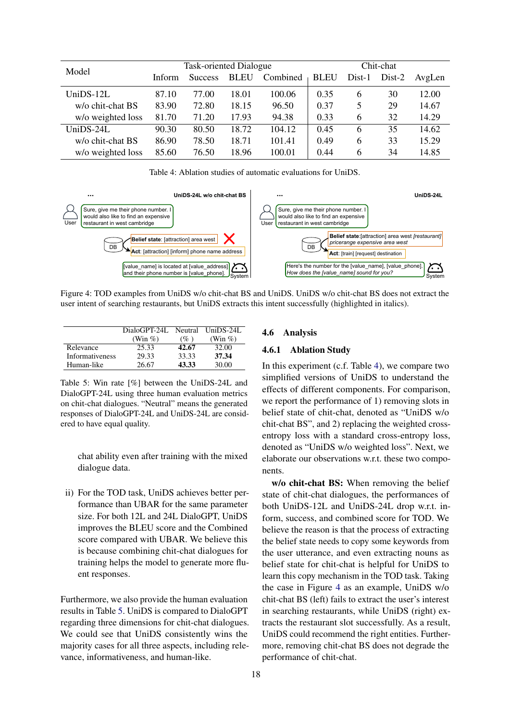<span id="page-5-1"></span>

| Model             | <b>Task-oriented Dialogue</b> |                |             |          | Chit-chat   |        |          |        |
|-------------------|-------------------------------|----------------|-------------|----------|-------------|--------|----------|--------|
|                   | Inform                        | <b>Success</b> | <b>BLEU</b> | Combined | <b>BLEU</b> | Dist-1 | $Dist-2$ | AvgLen |
| $UniDS-12L$       | 87.10                         | 77.00          | 18.01       | 100.06   | 0.35        | 6      | 30       | 12.00  |
| w/o chit-chat BS  | 83.90                         | 72.80          | 18.15       | 96.50    | 0.37        | 5      | 29       | 14.67  |
| w/o weighted loss | 81.70                         | 71.20          | 17.93       | 94.38    | 0.33        | 6      | 32       | 14.29  |
| $UniDS-24L$       | 90.30                         | 80.50          | 18.72       | 104.12   | 0.45        | 6      | 35       | 14.62  |
| w/o chit-chat BS  | 86.90                         | 78.50          | 18.71       | 101.41   | 0.49        | 6      | 33       | 15.29  |
| w/o weighted loss | 85.60                         | 76.50          | 18.96       | 100.01   | 0.44        | 6      | 34       | 14.85  |

Table 4: Ablation studies of automatic evaluations for UniDS.

<span id="page-5-2"></span>

Figure 4: TOD examples from UniDS w/o chit-chat BS and UniDS. UniDS w/o chit-chat BS does not extract the user intent of searching restaurants, but UniDS extracts this intent successfully (highlighted in italics).

<span id="page-5-0"></span>

|                 | DialoGPT-24L Neutral UniDS-24L |       |             |
|-----------------|--------------------------------|-------|-------------|
|                 | (Win $\%$ )                    | (% )  | (Win $\%$ ) |
| Relevance       | 25.33                          | 42.67 | 32.00       |
| Informativeness | 29.33                          | 33.33 | 37.34       |
| Human-like      | 26.67                          | 43.33 | 30.00       |

Table 5: Win rate [%] between the UniDS-24L and DialoGPT-24L using three human evaluation metrics on chit-chat dialogues. "Neutral" means the generated responses of DialoGPT-24L and UniDS-24L are considered to have equal quality.

chat ability even after training with the mixed dialogue data.

ii) For the TOD task, UniDS achieves better performance than UBAR for the same parameter size. For both 12L and 24L DialoGPT, UniDS improves the BLEU score and the Combined score compared with UBAR. We believe this is because combining chit-chat dialogues for training helps the model to generate more fluent responses.

Furthermore, we also provide the human evaluation results in Table [5.](#page-5-0) UniDS is compared to DialoGPT regarding three dimensions for chit-chat dialogues. We could see that UniDS consistently wins the majority cases for all three aspects, including relevance, informativeness, and human-like.

## 4.6 Analysis

## 4.6.1 Ablation Study

In this experiment (c.f. Table [4\)](#page-5-1), we compare two simplified versions of UniDS to understand the effects of different components. For comparison, we report the performance of 1) removing slots in belief state of chit-chat, denoted as "UniDS w/o chit-chat BS", and 2) replacing the weighted crossentropy loss with a standard cross-entropy loss, denoted as "UniDS w/o weighted loss". Next, we elaborate our observations w.r.t. these two components.

w/o chit-chat BS: When removing the belief state of chit-chat dialogues, the performances of both UniDS-12L and UniDS-24L drop w.r.t. inform, success, and combined score for TOD. We believe the reason is that the process of extracting the belief state needs to copy some keywords from the user utterance, and even extracting nouns as belief state for chit-chat is helpful for UniDS to learn this copy mechanism in the TOD task. Taking the case in Figure [4](#page-5-2) as an example, UniDS w/o chit-chat BS (left) fails to extract the user's interest in searching restaurants, while UniDS (right) extracts the restaurant slot successfully. As a result, UniDS could recommend the right entities. Furthermore, removing chit-chat BS does not degrade the performance of chit-chat.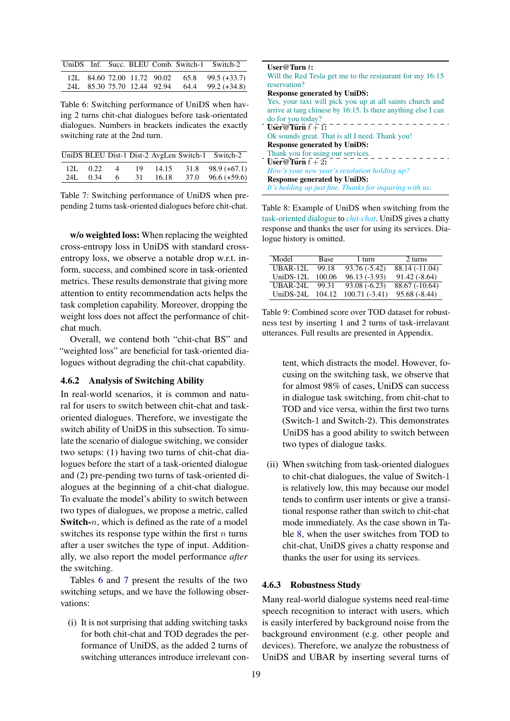<span id="page-6-0"></span>

|  |  |  | UniDS Inf. Succ. BLEU Comb. Switch-1 Switch-2 |
|--|--|--|-----------------------------------------------|
|  |  |  | 12L 84.60 72.00 11.72 90.02 65.8 99.5 (+33.7) |
|  |  |  | 24L 85.30 75.70 12.44 92.94 64.4 99.2 (+34.8) |

Table 6: Switching performance of UniDS when having 2 turns chit-chat dialogues before task-orientated dialogues. Numbers in brackets indicates the exactly switching rate at the 2nd turn.

<span id="page-6-1"></span>

|              |  |  | UniDS BLEU Dist-1 Dist-2 AvgLen Switch-1 Switch-2       |
|--------------|--|--|---------------------------------------------------------|
| 12L $0.22$ 4 |  |  | $19$ 14.15 31.8 98.9 (+67.1)                            |
| 24L 0.34     |  |  | $6\qquad 31\qquad 16.18\qquad 37.0\quad 96.6\; (+59.6)$ |

Table 7: Switching performance of UniDS when prepending 2 turns task-oriented dialogues before chit-chat.

w/o weighted loss: When replacing the weighted cross-entropy loss in UniDS with standard crossentropy loss, we observe a notable drop w.r.t. inform, success, and combined score in task-oriented metrics. These results demonstrate that giving more attention to entity recommendation acts helps the task completion capability. Moreover, dropping the weight loss does not affect the performance of chitchat much.

Overall, we contend both "chit-chat BS" and "weighted loss" are beneficial for task-oriented dialogues without degrading the chit-chat capability.

## 4.6.2 Analysis of Switching Ability

In real-world scenarios, it is common and natural for users to switch between chit-chat and taskoriented dialogues. Therefore, we investigate the switch ability of UniDS in this subsection. To simulate the scenario of dialogue switching, we consider two setups: (1) having two turns of chit-chat dialogues before the start of a task-oriented dialogue and (2) pre-pending two turns of task-oriented dialogues at the beginning of a chit-chat dialogue. To evaluate the model's ability to switch between two types of dialogues, we propose a metric, called **Switch-** $n$ , which is defined as the rate of a model switches its response type within the first  $n$  turns after a user switches the type of input. Additionally, we also report the model performance *after* the switching.

Tables [6](#page-6-0) and [7](#page-6-1) present the results of the two switching setups, and we have the following observations:

(i) It is not surprising that adding switching tasks for both chit-chat and TOD degrades the performance of UniDS, as the added 2 turns of switching utterances introduce irrelevant con-

<span id="page-6-2"></span>

| User@Turn $t$ :                                               |
|---------------------------------------------------------------|
| Will the Red Tesla get me to the restaurant for my 16:15      |
| reservation?                                                  |
| <b>Response generated by UniDS:</b>                           |
| Yes, your taxi will pick you up at all saints church and      |
| arrive at tang chinese by 16:15. Is there anything else I can |
| do for you today?                                             |
| User@Turn $t + 1$ :                                           |
| Ok sounds great. That is all I need. Thank you!               |
| <b>Response generated by UniDS:</b>                           |
| Thank you for using our services.                             |
| User@Turn $t + 2$ :                                           |
| How's your new year's resolution holding up?                  |
| <b>Response generated by UniDS:</b>                           |
| It's holding up just fine. Thanks for inquiring with us.      |

Table 8: Example of UniDS when switching from the task-oriented dialogue to *chit-chat*. UniDS gives a chatty response and thanks the user for using its services. Dialogue history is omitted.

<span id="page-6-3"></span>

| Model       | <b>Base</b> | 1 turn          | 2 turns         |
|-------------|-------------|-----------------|-----------------|
| $UBAR-12L$  | 99.18       | $93.76(-5.42)$  | 88.14 (-11.04)  |
| $UniDS-12L$ | 100.06      | $96.13(-3.93)$  | $91.42(-8.64)$  |
| $UBAR-24L$  | 99.31       | $93.08(-6.23)$  | $88.67(-10.64)$ |
| UniDS-24L   | 104.12      | $100.71(-3.41)$ | $95.68(-8.44)$  |

Table 9: Combined score over TOD dataset for robustness test by inserting 1 and 2 turns of task-irrelavant utterances. Full results are presented in Appendix.

tent, which distracts the model. However, focusing on the switching task, we observe that for almost 98% of cases, UniDS can success in dialogue task switching, from chit-chat to TOD and vice versa, within the first two turns (Switch-1 and Switch-2). This demonstrates UniDS has a good ability to switch between two types of dialogue tasks.

(ii) When switching from task-oriented dialogues to chit-chat dialogues, the value of Switch-1 is relatively low, this may because our model tends to confirm user intents or give a transitional response rather than switch to chit-chat mode immediately. As the case shown in Table [8,](#page-6-2) when the user switches from TOD to chit-chat, UniDS gives a chatty response and thanks the user for using its services.

## 4.6.3 Robustness Study

Many real-world dialogue systems need real-time speech recognition to interact with users, which is easily interfered by background noise from the background environment (e.g. other people and devices). Therefore, we analyze the robustness of UniDS and UBAR by inserting several turns of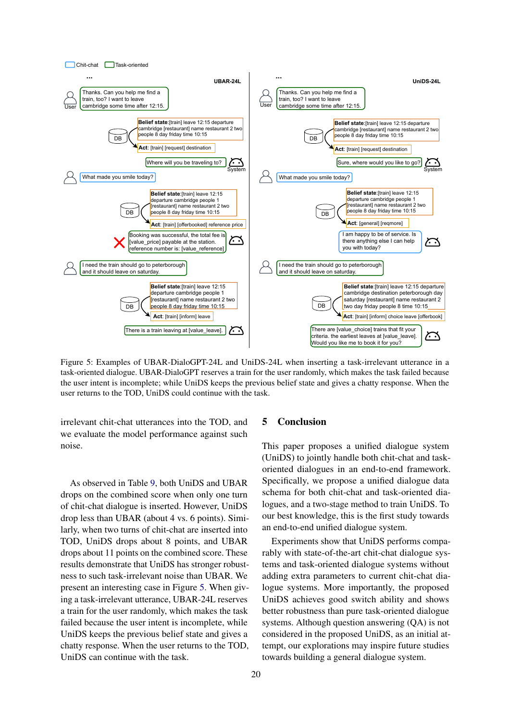<span id="page-7-0"></span>

Figure 5: Examples of UBAR-DialoGPT-24L and UniDS-24L when inserting a task-irrelevant utterance in a task-oriented dialogue. UBAR-DialoGPT reserves a train for the user randomly, which makes the task failed because the user intent is incomplete; while UniDS keeps the previous belief state and gives a chatty response. When the user returns to the TOD, UniDS could continue with the task.

irrelevant chit-chat utterances into the TOD, and we evaluate the model performance against such noise.

As observed in Table [9,](#page-6-3) both UniDS and UBAR drops on the combined score when only one turn of chit-chat dialogue is inserted. However, UniDS drop less than UBAR (about 4 vs. 6 points). Similarly, when two turns of chit-chat are inserted into TOD, UniDS drops about 8 points, and UBAR drops about 11 points on the combined score. These results demonstrate that UniDS has stronger robustness to such task-irrelevant noise than UBAR. We present an interesting case in Figure [5.](#page-7-0) When giving a task-irrelevant utterance, UBAR-24L reserves a train for the user randomly, which makes the task failed because the user intent is incomplete, while UniDS keeps the previous belief state and gives a chatty response. When the user returns to the TOD, UniDS can continue with the task.

## 5 Conclusion

This paper proposes a unified dialogue system (UniDS) to jointly handle both chit-chat and taskoriented dialogues in an end-to-end framework. Specifically, we propose a unified dialogue data schema for both chit-chat and task-oriented dialogues, and a two-stage method to train UniDS. To our best knowledge, this is the first study towards an end-to-end unified dialogue system.

Experiments show that UniDS performs comparably with state-of-the-art chit-chat dialogue systems and task-oriented dialogue systems without adding extra parameters to current chit-chat dialogue systems. More importantly, the proposed UniDS achieves good switch ability and shows better robustness than pure task-oriented dialogue systems. Although question answering (QA) is not considered in the proposed UniDS, as an initial attempt, our explorations may inspire future studies towards building a general dialogue system.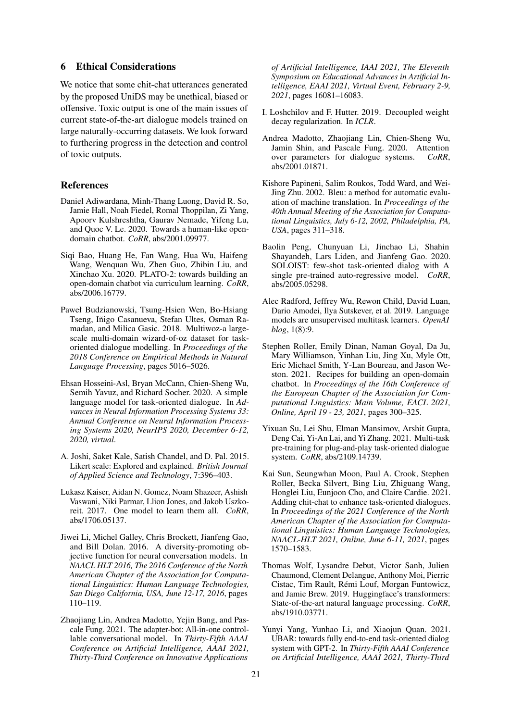## 6 Ethical Considerations

We notice that some chit-chat utterances generated by the proposed UniDS may be unethical, biased or offensive. Toxic output is one of the main issues of current state-of-the-art dialogue models trained on large naturally-occurring datasets. We look forward to furthering progress in the detection and control of toxic outputs.

## References

- <span id="page-8-8"></span>Daniel Adiwardana, Minh-Thang Luong, David R. So, Jamie Hall, Noah Fiedel, Romal Thoppilan, Zi Yang, Apoorv Kulshreshtha, Gaurav Nemade, Yifeng Lu, and Quoc V. Le. 2020. Towards a human-like opendomain chatbot. *CoRR*, abs/2001.09977.
- <span id="page-8-9"></span>Siqi Bao, Huang He, Fan Wang, Hua Wu, Haifeng Wang, Wenquan Wu, Zhen Guo, Zhibin Liu, and Xinchao Xu. 2020. PLATO-2: towards building an open-domain chatbot via curriculum learning. *CoRR*, abs/2006.16779.
- <span id="page-8-11"></span>Paweł Budzianowski, Tsung-Hsien Wen, Bo-Hsiang Tseng, Iñigo Casanueva, Stefan Ultes, Osman Ramadan, and Milica Gasic. 2018. Multiwoz-a largescale multi-domain wizard-of-oz dataset for taskoriented dialogue modelling. In *Proceedings of the 2018 Conference on Empirical Methods in Natural Language Processing*, pages 5016–5026.
- <span id="page-8-0"></span>Ehsan Hosseini-Asl, Bryan McCann, Chien-Sheng Wu, Semih Yavuz, and Richard Socher. 2020. A simple language model for task-oriented dialogue. In *Advances in Neural Information Processing Systems 33: Annual Conference on Neural Information Processing Systems 2020, NeurIPS 2020, December 6-12, 2020, virtual*.
- <span id="page-8-17"></span>A. Joshi, Saket Kale, Satish Chandel, and D. Pal. 2015. Likert scale: Explored and explained. *British Journal of Applied Science and Technology*, 7:396–403.
- <span id="page-8-4"></span>Lukasz Kaiser, Aidan N. Gomez, Noam Shazeer, Ashish Vaswani, Niki Parmar, Llion Jones, and Jakob Uszkoreit. 2017. One model to learn them all. *CoRR*, abs/1706.05137.
- <span id="page-8-16"></span>Jiwei Li, Michel Galley, Chris Brockett, Jianfeng Gao, and Bill Dolan. 2016. A diversity-promoting objective function for neural conversation models. In *NAACL HLT 2016, The 2016 Conference of the North American Chapter of the Association for Computational Linguistics: Human Language Technologies, San Diego California, USA, June 12-17, 2016*, pages 110–119.
- <span id="page-8-6"></span>Zhaojiang Lin, Andrea Madotto, Yejin Bang, and Pascale Fung. 2021. The adapter-bot: All-in-one controllable conversational model. In *Thirty-Fifth AAAI Conference on Artificial Intelligence, AAAI 2021, Thirty-Third Conference on Innovative Applications*

*of Artificial Intelligence, IAAI 2021, The Eleventh Symposium on Educational Advances in Artificial Intelligence, EAAI 2021, Virtual Event, February 2-9, 2021*, pages 16081–16083.

- <span id="page-8-14"></span>I. Loshchilov and F. Hutter. 2019. Decoupled weight decay regularization. In *ICLR*.
- <span id="page-8-5"></span>Andrea Madotto, Zhaojiang Lin, Chien-Sheng Wu, Jamin Shin, and Pascale Fung. 2020. Attention over parameters for dialogue systems. *CoRR*, abs/2001.01871.
- <span id="page-8-15"></span>Kishore Papineni, Salim Roukos, Todd Ward, and Wei-Jing Zhu. 2002. Bleu: a method for automatic evaluation of machine translation. In *Proceedings of the 40th Annual Meeting of the Association for Computational Linguistics, July 6-12, 2002, Philadelphia, PA, USA*, pages 311–318.
- <span id="page-8-1"></span>Baolin Peng, Chunyuan Li, Jinchao Li, Shahin Shayandeh, Lars Liden, and Jianfeng Gao. 2020. SOLOIST: few-shot task-oriented dialog with A single pre-trained auto-regressive model. *CoRR*, abs/2005.05298.
- <span id="page-8-7"></span>Alec Radford, Jeffrey Wu, Rewon Child, David Luan, Dario Amodei, Ilya Sutskever, et al. 2019. Language models are unsupervised multitask learners. *OpenAI blog*, 1(8):9.
- <span id="page-8-3"></span>Stephen Roller, Emily Dinan, Naman Goyal, Da Ju, Mary Williamson, Yinhan Liu, Jing Xu, Myle Ott, Eric Michael Smith, Y-Lan Boureau, and Jason Weston. 2021. Recipes for building an open-domain chatbot. In *Proceedings of the 16th Conference of the European Chapter of the Association for Computational Linguistics: Main Volume, EACL 2021, Online, April 19 - 23, 2021*, pages 300–325.
- <span id="page-8-12"></span>Yixuan Su, Lei Shu, Elman Mansimov, Arshit Gupta, Deng Cai, Yi-An Lai, and Yi Zhang. 2021. Multi-task pre-training for plug-and-play task-oriented dialogue system. *CoRR*, abs/2109.14739.
- <span id="page-8-10"></span>Kai Sun, Seungwhan Moon, Paul A. Crook, Stephen Roller, Becka Silvert, Bing Liu, Zhiguang Wang, Honglei Liu, Eunjoon Cho, and Claire Cardie. 2021. Adding chit-chat to enhance task-oriented dialogues. In *Proceedings of the 2021 Conference of the North American Chapter of the Association for Computational Linguistics: Human Language Technologies, NAACL-HLT 2021, Online, June 6-11, 2021*, pages 1570–1583.
- <span id="page-8-13"></span>Thomas Wolf, Lysandre Debut, Victor Sanh, Julien Chaumond, Clement Delangue, Anthony Moi, Pierric Cistac, Tim Rault, Rémi Louf, Morgan Funtowicz, and Jamie Brew. 2019. Huggingface's transformers: State-of-the-art natural language processing. *CoRR*, abs/1910.03771.
- <span id="page-8-2"></span>Yunyi Yang, Yunhao Li, and Xiaojun Quan. 2021. UBAR: towards fully end-to-end task-oriented dialog system with GPT-2. In *Thirty-Fifth AAAI Conference on Artificial Intelligence, AAAI 2021, Thirty-Third*